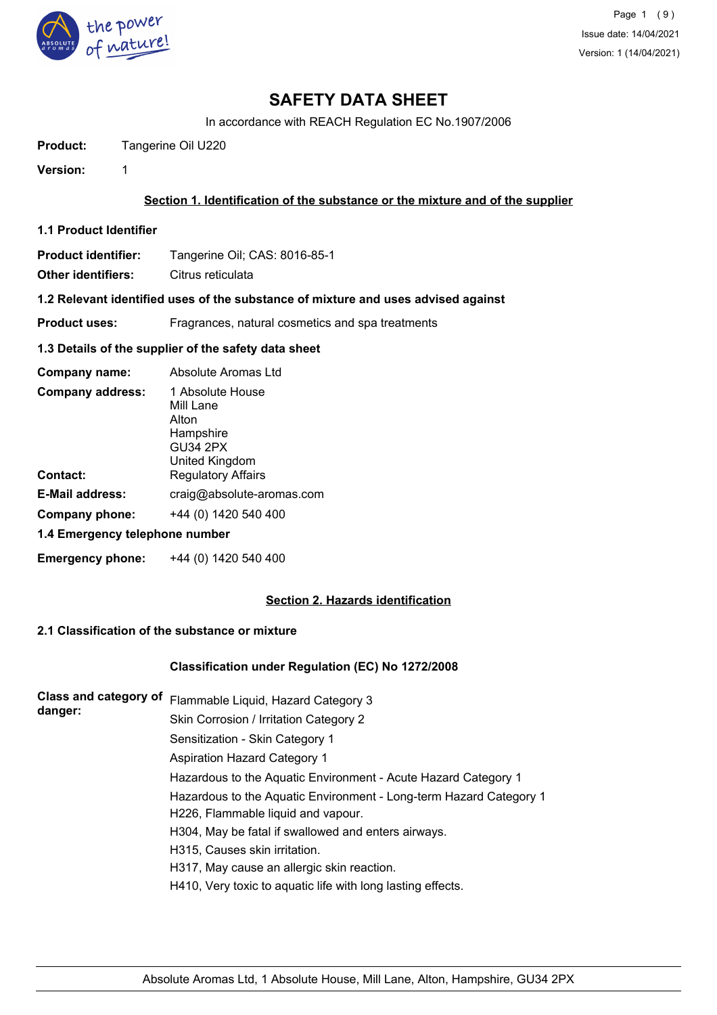

In accordance with REACH Regulation EC No.1907/2006

**Product:** Tangerine Oil U220

**Version:** 1

### **Section 1. Identification of the substance or the mixture and of the supplier**

**1.1 Product Identifier**

**Product identifier:** Tangerine Oil; CAS: 8016-85-1

**Other identifiers:** Citrus reticulata

#### **1.2 Relevant identified uses of the substance of mixture and uses advised against**

**Product uses:** Fragrances, natural cosmetics and spa treatments

#### **1.3 Details of the supplier of the safety data sheet**

| Company name:                       | Absolute Aromas Ltd                                                                                                   |  |  |
|-------------------------------------|-----------------------------------------------------------------------------------------------------------------------|--|--|
| <b>Company address:</b><br>Contact: | 1 Absolute House<br>Mill Lane<br>Alton<br>Hampshire<br><b>GU34 2PX</b><br>United Kingdom<br><b>Regulatory Affairs</b> |  |  |
| <b>E-Mail address:</b>              | craig@absolute-aromas.com                                                                                             |  |  |
| Company phone:                      | +44 (0) 1420 540 400                                                                                                  |  |  |
| 1.4 Emergency telephone number      |                                                                                                                       |  |  |
|                                     |                                                                                                                       |  |  |

**Emergency phone:** +44 (0) 1420 540 400

## **Section 2. Hazards identification**

## **2.1 Classification of the substance or mixture**

### **Classification under Regulation (EC) No 1272/2008**

| <b>Class and category of</b><br>danger: | Flammable Liquid, Hazard Category 3                                |  |  |
|-----------------------------------------|--------------------------------------------------------------------|--|--|
|                                         | Skin Corrosion / Irritation Category 2                             |  |  |
|                                         | Sensitization - Skin Category 1                                    |  |  |
|                                         | Aspiration Hazard Category 1                                       |  |  |
|                                         | Hazardous to the Aquatic Environment - Acute Hazard Category 1     |  |  |
|                                         | Hazardous to the Aquatic Environment - Long-term Hazard Category 1 |  |  |
|                                         | H226, Flammable liquid and vapour.                                 |  |  |
|                                         | H304, May be fatal if swallowed and enters airways.                |  |  |
|                                         | H315, Causes skin irritation.                                      |  |  |
|                                         | H317, May cause an allergic skin reaction.                         |  |  |
|                                         | H410, Very toxic to aquatic life with long lasting effects.        |  |  |
|                                         |                                                                    |  |  |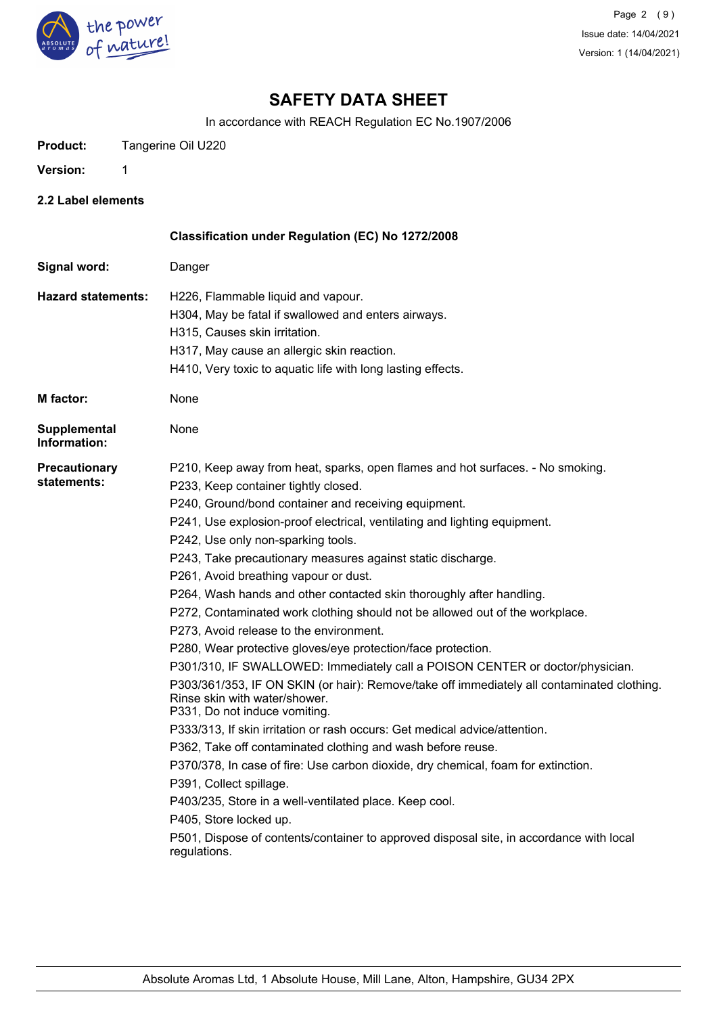

In accordance with REACH Regulation EC No.1907/2006

**Product:** Tangerine Oil U220

**Version:** 1

**2.2 Label elements**

|                                     | Classification under Regulation (EC) No 1272/2008                                                                                                                                                                                                                                                                                                                                                                                                                                                                                                                                                                                                                                                                                                                                                                                                                                                                                                                                                                                                                                                                                                                                                                                                                                                                                                                                         |
|-------------------------------------|-------------------------------------------------------------------------------------------------------------------------------------------------------------------------------------------------------------------------------------------------------------------------------------------------------------------------------------------------------------------------------------------------------------------------------------------------------------------------------------------------------------------------------------------------------------------------------------------------------------------------------------------------------------------------------------------------------------------------------------------------------------------------------------------------------------------------------------------------------------------------------------------------------------------------------------------------------------------------------------------------------------------------------------------------------------------------------------------------------------------------------------------------------------------------------------------------------------------------------------------------------------------------------------------------------------------------------------------------------------------------------------------|
| Signal word:                        | Danger                                                                                                                                                                                                                                                                                                                                                                                                                                                                                                                                                                                                                                                                                                                                                                                                                                                                                                                                                                                                                                                                                                                                                                                                                                                                                                                                                                                    |
| <b>Hazard statements:</b>           | H226, Flammable liquid and vapour.<br>H304, May be fatal if swallowed and enters airways.<br>H315, Causes skin irritation.<br>H317, May cause an allergic skin reaction.<br>H410, Very toxic to aquatic life with long lasting effects.                                                                                                                                                                                                                                                                                                                                                                                                                                                                                                                                                                                                                                                                                                                                                                                                                                                                                                                                                                                                                                                                                                                                                   |
| <b>M</b> factor:                    | None                                                                                                                                                                                                                                                                                                                                                                                                                                                                                                                                                                                                                                                                                                                                                                                                                                                                                                                                                                                                                                                                                                                                                                                                                                                                                                                                                                                      |
| <b>Supplemental</b><br>Information: | None                                                                                                                                                                                                                                                                                                                                                                                                                                                                                                                                                                                                                                                                                                                                                                                                                                                                                                                                                                                                                                                                                                                                                                                                                                                                                                                                                                                      |
| Precautionary<br>statements:        | P210, Keep away from heat, sparks, open flames and hot surfaces. - No smoking.<br>P233, Keep container tightly closed.<br>P240, Ground/bond container and receiving equipment.<br>P241, Use explosion-proof electrical, ventilating and lighting equipment.<br>P242, Use only non-sparking tools.<br>P243, Take precautionary measures against static discharge.<br>P261, Avoid breathing vapour or dust.<br>P264, Wash hands and other contacted skin thoroughly after handling.<br>P272, Contaminated work clothing should not be allowed out of the workplace.<br>P273, Avoid release to the environment.<br>P280, Wear protective gloves/eye protection/face protection.<br>P301/310, IF SWALLOWED: Immediately call a POISON CENTER or doctor/physician.<br>P303/361/353, IF ON SKIN (or hair): Remove/take off immediately all contaminated clothing.<br>Rinse skin with water/shower.<br>P331, Do not induce vomiting.<br>P333/313, If skin irritation or rash occurs: Get medical advice/attention.<br>P362, Take off contaminated clothing and wash before reuse.<br>P370/378, In case of fire: Use carbon dioxide, dry chemical, foam for extinction.<br>P391, Collect spillage.<br>P403/235, Store in a well-ventilated place. Keep cool.<br>P405, Store locked up.<br>P501, Dispose of contents/container to approved disposal site, in accordance with local<br>regulations. |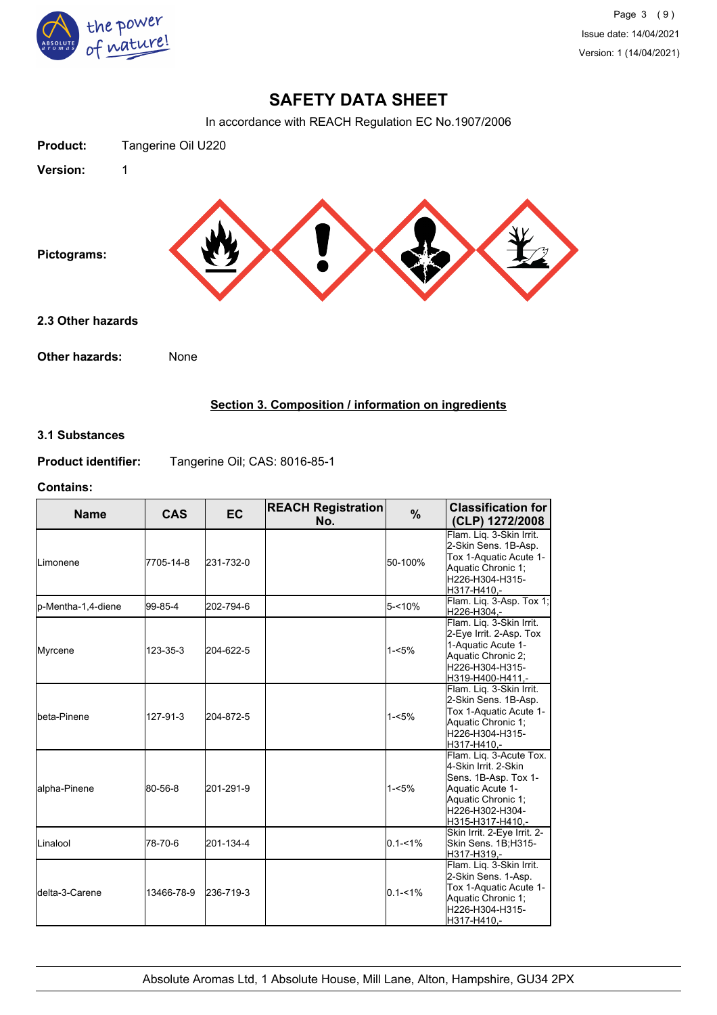

In accordance with REACH Regulation EC No.1907/2006



## **Section 3. Composition / information on ingredients**

## **3.1 Substances**

**Product identifier:** Tangerine Oil; CAS: 8016-85-1

#### **Contains:**

| <b>Name</b>             | <b>CAS</b> | <b>EC</b> | <b>REACH Registration</b><br>No. | $\frac{9}{6}$ | <b>Classification for</b><br>(CLP) 1272/2008                                                                                                             |
|-------------------------|------------|-----------|----------------------------------|---------------|----------------------------------------------------------------------------------------------------------------------------------------------------------|
| <b>I</b> Limonene       | 7705-14-8  | 231-732-0 |                                  | 50-100%       | Flam. Lig. 3-Skin Irrit.<br>2-Skin Sens. 1B-Asp.<br>Tox 1-Aquatic Acute 1-<br>Aquatic Chronic 1;<br>H226-H304-H315-<br>H317-H410.-                       |
| lp-Mentha-1,4-diene     | 99-85-4    | 202-794-6 |                                  | $5 - 10%$     | Flam. Liq. 3-Asp. Tox 1;<br>H226-H304,-                                                                                                                  |
| Myrcene                 | 123-35-3   | 204-622-5 |                                  | $1 - 5%$      | Flam. Liq. 3-Skin Irrit.<br>2-Eye Irrit. 2-Asp. Tox<br>1-Aquatic Acute 1-<br>Aquatic Chronic 2;<br>H226-H304-H315-<br>H319-H400-H411,-                   |
| Ibeta-Pinene            | 127-91-3   | 204-872-5 |                                  | $1 - 5%$      | Flam. Liq. 3-Skin Irrit.<br>2-Skin Sens. 1B-Asp.<br>Tox 1-Aquatic Acute 1-<br>Aquatic Chronic 1:<br>H226-H304-H315-<br>H317-H410,-                       |
| alpha-Pinene            | 80-56-8    | 201-291-9 |                                  | $1 - 5%$      | Flam. Liq. 3-Acute Tox.<br>4-Skin Irrit. 2-Skin<br>Sens. 1B-Asp. Tox 1-<br>Aquatic Acute 1-<br>Aquatic Chronic 1;<br>H226-H302-H304-<br>H315-H317-H410.- |
| Linalool                | 78-70-6    | 201-134-4 |                                  | $0.1 - 1\%$   | Skin Irrit. 2-Eye Irrit. 2-<br>Skin Sens. 1B;H315-<br>H317-H319.-                                                                                        |
| <b>I</b> delta-3-Carene | 13466-78-9 | 236-719-3 |                                  | $0.1 - 1\%$   | Flam. Liq. 3-Skin Irrit.<br>2-Skin Sens. 1-Asp.<br>Tox 1-Aquatic Acute 1-<br>Aquatic Chronic 1;<br>H226-H304-H315-<br>H317-H410,-                        |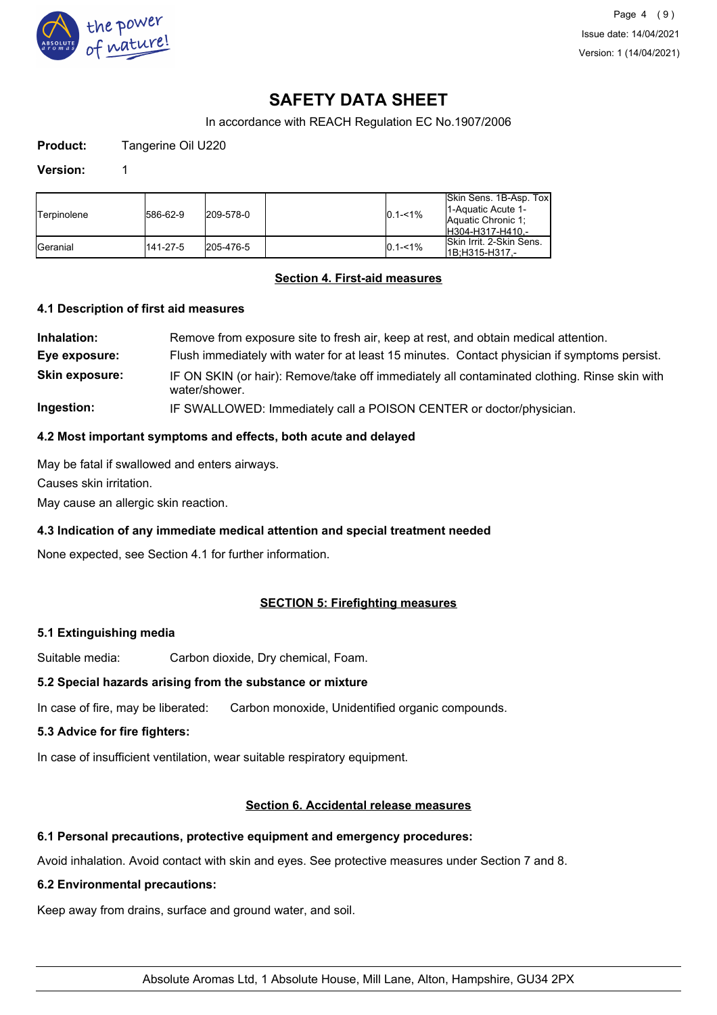

In accordance with REACH Regulation EC No.1907/2006

**Product:** Tangerine Oil U220

#### **Version:** 1

| <b>Terpinolene</b> | 586-62-9 | 209-578-0 | $0.1 - 1\%$ | Skin Sens. 1B-Asp. Tox<br>11-Aquatic Acute 1-<br><b>Aquatic Chronic 1:</b><br>IH304-H317-H410 - |
|--------------------|----------|-----------|-------------|-------------------------------------------------------------------------------------------------|
| <b>I</b> Geranial  | 141-27-5 | 205-476-5 | $0.1 - 1\%$ | <b>ISkin Irrit. 2-Skin Sens.</b><br>l1B:H315-H317.-                                             |

### **Section 4. First-aid measures**

### **4.1 Description of first aid measures**

| Inhalation:           | Remove from exposure site to fresh air, keep at rest, and obtain medical attention.                           |
|-----------------------|---------------------------------------------------------------------------------------------------------------|
| Eye exposure:         | Flush immediately with water for at least 15 minutes. Contact physician if symptoms persist.                  |
| <b>Skin exposure:</b> | IF ON SKIN (or hair): Remove/take off immediately all contaminated clothing. Rinse skin with<br>water/shower. |
| Ingestion:            | IF SWALLOWED: Immediately call a POISON CENTER or doctor/physician.                                           |

### **4.2 Most important symptoms and effects, both acute and delayed**

May be fatal if swallowed and enters airways.

Causes skin irritation.

May cause an allergic skin reaction.

### **4.3 Indication of any immediate medical attention and special treatment needed**

None expected, see Section 4.1 for further information.

### **SECTION 5: Firefighting measures**

### **5.1 Extinguishing media**

Suitable media: Carbon dioxide, Dry chemical, Foam.

### **5.2 Special hazards arising from the substance or mixture**

In case of fire, may be liberated: Carbon monoxide, Unidentified organic compounds.

### **5.3 Advice for fire fighters:**

In case of insufficient ventilation, wear suitable respiratory equipment.

#### **Section 6. Accidental release measures**

### **6.1 Personal precautions, protective equipment and emergency procedures:**

Avoid inhalation. Avoid contact with skin and eyes. See protective measures under Section 7 and 8.

### **6.2 Environmental precautions:**

Keep away from drains, surface and ground water, and soil.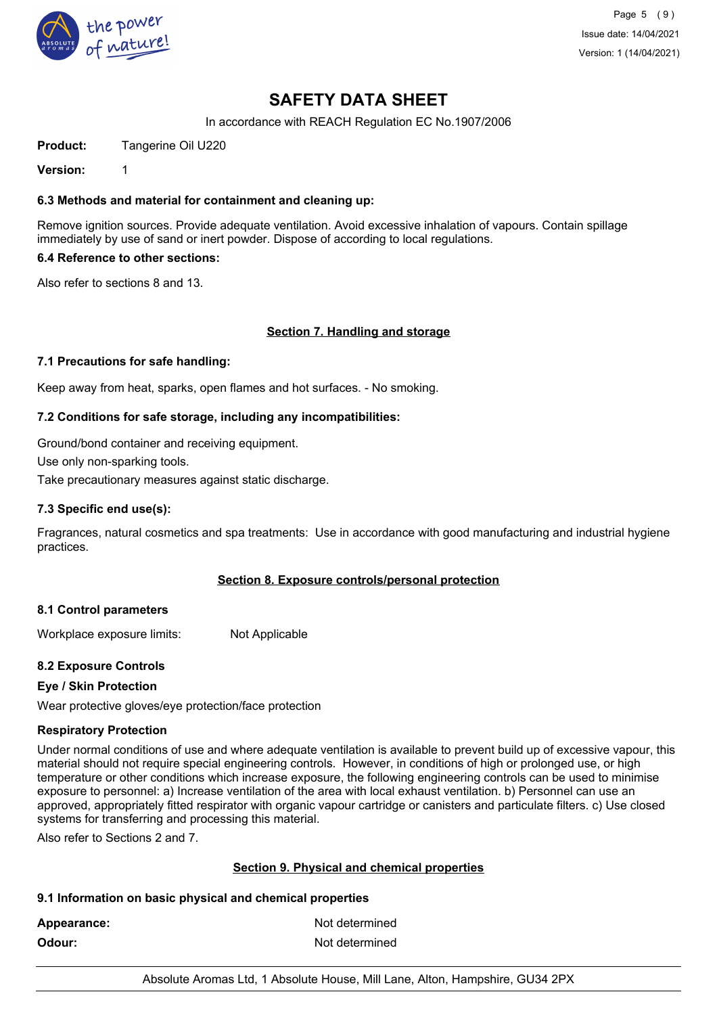

In accordance with REACH Regulation EC No.1907/2006

**Product:** Tangerine Oil U220

**Version:** 1

### **6.3 Methods and material for containment and cleaning up:**

Remove ignition sources. Provide adequate ventilation. Avoid excessive inhalation of vapours. Contain spillage immediately by use of sand or inert powder. Dispose of according to local regulations.

### **6.4 Reference to other sections:**

Also refer to sections 8 and 13.

### **Section 7. Handling and storage**

#### **7.1 Precautions for safe handling:**

Keep away from heat, sparks, open flames and hot surfaces. - No smoking.

### **7.2 Conditions for safe storage, including any incompatibilities:**

Ground/bond container and receiving equipment.

Use only non-sparking tools.

Take precautionary measures against static discharge.

#### **7.3 Specific end use(s):**

Fragrances, natural cosmetics and spa treatments: Use in accordance with good manufacturing and industrial hygiene practices.

### **Section 8. Exposure controls/personal protection**

#### **8.1 Control parameters**

Workplace exposure limits: Not Applicable

### **8.2 Exposure Controls**

### **Eye / Skin Protection**

Wear protective gloves/eye protection/face protection

### **Respiratory Protection**

Under normal conditions of use and where adequate ventilation is available to prevent build up of excessive vapour, this material should not require special engineering controls. However, in conditions of high or prolonged use, or high temperature or other conditions which increase exposure, the following engineering controls can be used to minimise exposure to personnel: a) Increase ventilation of the area with local exhaust ventilation. b) Personnel can use an approved, appropriately fitted respirator with organic vapour cartridge or canisters and particulate filters. c) Use closed systems for transferring and processing this material.

Also refer to Sections 2 and 7.

### **Section 9. Physical and chemical properties**

### **9.1 Information on basic physical and chemical properties**

Appearance: Not determined

**Odour:** Not determined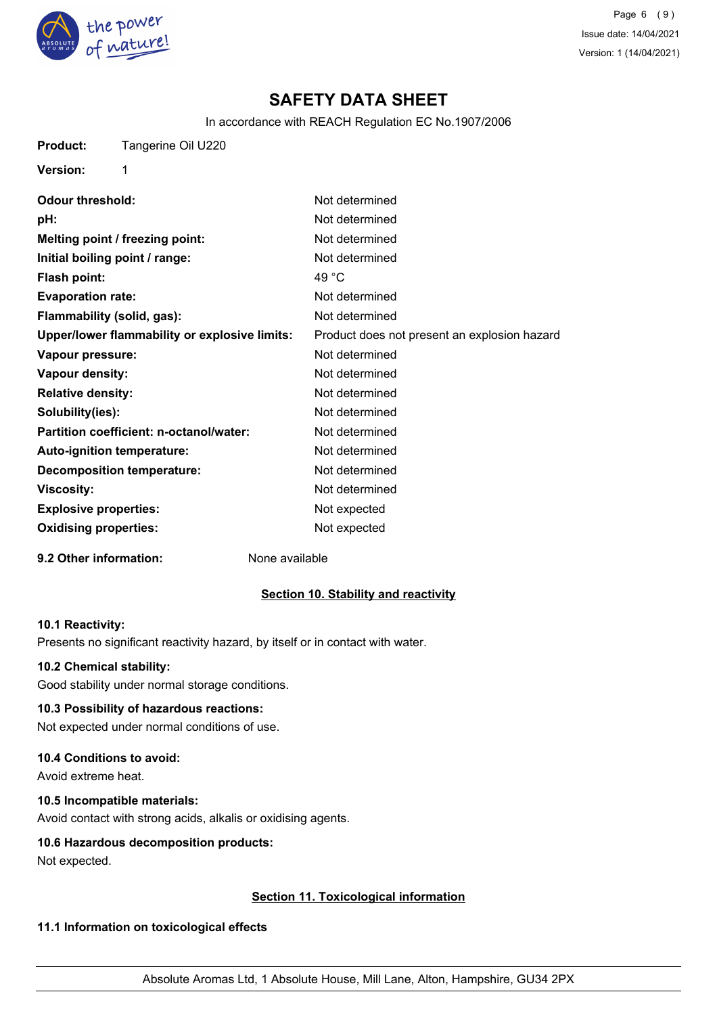

Page 6 (9) Issue date: 14/04/2021 Version: 1 (14/04/2021)

## **SAFETY DATA SHEET**

In accordance with REACH Regulation EC No.1907/2006

**Product:** Tangerine Oil U220

**Ve** 

| rsion: |  |
|--------|--|

| <b>Odour threshold:</b>                       | Not determined                               |
|-----------------------------------------------|----------------------------------------------|
| pH:                                           | Not determined                               |
| Melting point / freezing point:               | Not determined                               |
| Initial boiling point / range:                | Not determined                               |
| <b>Flash point:</b>                           | 49 °C                                        |
| <b>Evaporation rate:</b>                      | Not determined                               |
| Flammability (solid, gas):                    | Not determined                               |
| Upper/lower flammability or explosive limits: | Product does not present an explosion hazard |
| Vapour pressure:                              | Not determined                               |
| <b>Vapour density:</b>                        | Not determined                               |
| <b>Relative density:</b>                      | Not determined                               |
| Solubility(ies):                              | Not determined                               |
| Partition coefficient: n-octanol/water:       | Not determined                               |
| <b>Auto-ignition temperature:</b>             | Not determined                               |
| <b>Decomposition temperature:</b>             | Not determined                               |
| Viscosity:                                    | Not determined                               |
| <b>Explosive properties:</b>                  | Not expected                                 |
| <b>Oxidising properties:</b>                  | Not expected                                 |

**9.2 Other information:** None available

### **Section 10. Stability and reactivity**

#### **10.1 Reactivity:**

Presents no significant reactivity hazard, by itself or in contact with water.

#### **10.2 Chemical stability:**

Good stability under normal storage conditions.

### **10.3 Possibility of hazardous reactions:**

Not expected under normal conditions of use.

### **10.4 Conditions to avoid:**

Avoid extreme heat.

## **10.5 Incompatible materials:**

Avoid contact with strong acids, alkalis or oxidising agents.

### **10.6 Hazardous decomposition products:**

Not expected.

### **Section 11. Toxicological information**

### **11.1 Information on toxicological effects**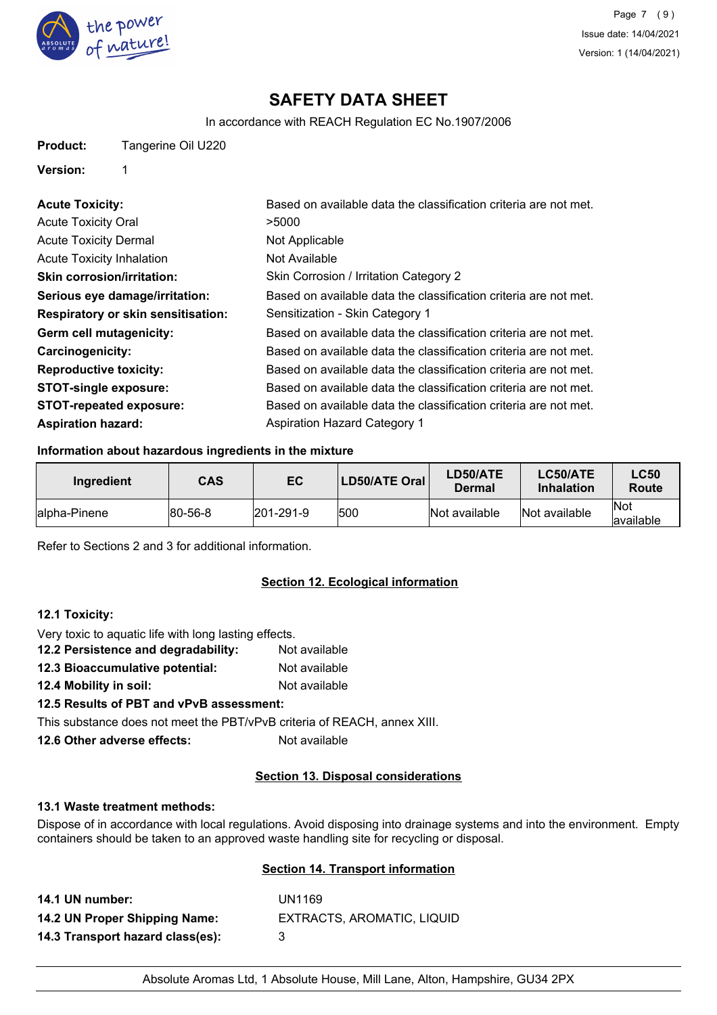

In accordance with REACH Regulation EC No.1907/2006

### **Version:** 1

| <b>Acute Toxicity:</b>                    | Based on available data the classification criteria are not met. |
|-------------------------------------------|------------------------------------------------------------------|
| <b>Acute Toxicity Oral</b>                | >5000                                                            |
| <b>Acute Toxicity Dermal</b>              | Not Applicable                                                   |
| <b>Acute Toxicity Inhalation</b>          | Not Available                                                    |
| <b>Skin corrosion/irritation:</b>         | Skin Corrosion / Irritation Category 2                           |
| Serious eye damage/irritation:            | Based on available data the classification criteria are not met. |
| <b>Respiratory or skin sensitisation:</b> | Sensitization - Skin Category 1                                  |
| Germ cell mutagenicity:                   | Based on available data the classification criteria are not met. |
| <b>Carcinogenicity:</b>                   | Based on available data the classification criteria are not met. |
| <b>Reproductive toxicity:</b>             | Based on available data the classification criteria are not met. |
| <b>STOT-single exposure:</b>              | Based on available data the classification criteria are not met. |
| <b>STOT-repeated exposure:</b>            | Based on available data the classification criteria are not met. |
| <b>Aspiration hazard:</b>                 | <b>Aspiration Hazard Category 1</b>                              |

### **Information about hazardous ingredients in the mixture**

| Ingredient    | <b>CAS</b>     | EC                | <b>LD50/ATE Oral</b> | LD50/ATE<br>Dermal | <b>LC50/ATE</b><br><b>Inhalation</b> | <b>LC50</b><br>Route     |
|---------------|----------------|-------------------|----------------------|--------------------|--------------------------------------|--------------------------|
| lalpha-Pinene | $ 80 - 56 - 8$ | $ 201 - 291 - 9 $ | 1500                 | Not available      | Not available                        | <b>Not</b><br>lavailable |

Refer to Sections 2 and 3 for additional information.

### **Section 12. Ecological information**

### **12.1 Toxicity:**

- Very toxic to aquatic life with long lasting effects. **12.2 Persistence and degradability:** Not available
- **12.3 Bioaccumulative potential:** Not available
- **12.4 Mobility in soil:** Not available

## **12.5 Results of PBT and vPvB assessment:**

This substance does not meet the PBT/vPvB criteria of REACH, annex XIII.

**12.6 Other adverse effects:** Not available

### **Section 13. Disposal considerations**

#### **13.1 Waste treatment methods:**

Dispose of in accordance with local regulations. Avoid disposing into drainage systems and into the environment. Empty containers should be taken to an approved waste handling site for recycling or disposal.

### **Section 14. Transport information**

| 14.1 UN number:                  | UN1169                     |
|----------------------------------|----------------------------|
| 14.2 UN Proper Shipping Name:    | EXTRACTS, AROMATIC, LIQUID |
| 14.3 Transport hazard class(es): | -3                         |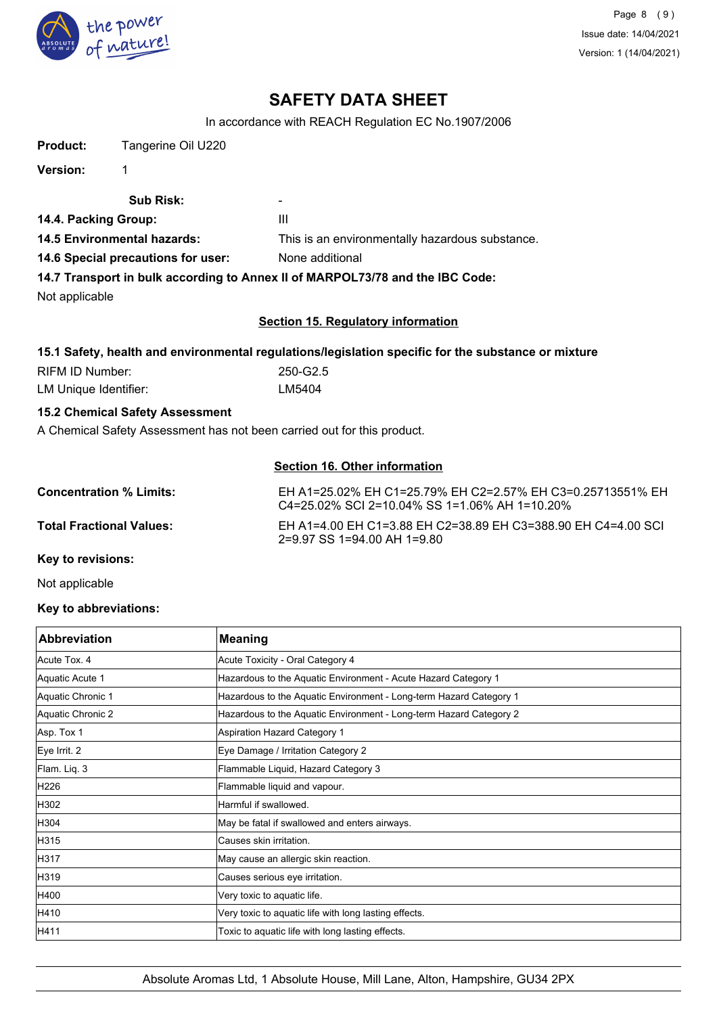

In accordance with REACH Regulation EC No.1907/2006

| <b>Product:</b>                    | Tangerine Oil U220                     |                                                                                                             |
|------------------------------------|----------------------------------------|-------------------------------------------------------------------------------------------------------------|
| <b>Version:</b>                    | 1                                      |                                                                                                             |
|                                    | <b>Sub Risk:</b>                       |                                                                                                             |
| 14.4. Packing Group:               |                                        | III                                                                                                         |
| <b>14.5 Environmental hazards:</b> |                                        | This is an environmentally hazardous substance.                                                             |
| 14.6 Special precautions for user: |                                        | None additional                                                                                             |
|                                    |                                        | 14.7 Transport in bulk according to Annex II of MARPOL73/78 and the IBC Code:                               |
| Not applicable                     |                                        |                                                                                                             |
|                                    |                                        | <b>Section 15. Regulatory information</b>                                                                   |
|                                    |                                        | 15.1 Safety, health and environmental regulations/legislation specific for the substance or mixture         |
| <b>RIFM ID Number:</b>             |                                        | 250-G2.5                                                                                                    |
| LM Unique Identifier:              |                                        | LM5404                                                                                                      |
|                                    | <b>15.2 Chemical Safety Assessment</b> |                                                                                                             |
|                                    |                                        | A Chemical Safety Assessment has not been carried out for this product.                                     |
|                                    |                                        | <b>Section 16. Other information</b>                                                                        |
| <b>Concentration % Limits:</b>     |                                        | EH A1=25.02% EH C1=25.79% EH C2=2.57% EH C3=0.25713551% EH<br>C4=25.02% SCI 2=10.04% SS 1=1.06% AH 1=10.20% |
| <b>Total Fractional Values:</b>    |                                        | EH A1=4.00 EH C1=3.88 EH C2=38.89 EH C3=388.90 EH C4=4.00 SCI<br>2=9.97 SS 1=94.00 AH 1=9.80                |
| Key to revisions:                  |                                        |                                                                                                             |

Not applicable

## **Key to abbreviations:**

| <b>Abbreviation</b> | <b>Meaning</b>                                                     |
|---------------------|--------------------------------------------------------------------|
| Acute Tox, 4        | Acute Toxicity - Oral Category 4                                   |
| Aquatic Acute 1     | Hazardous to the Aquatic Environment - Acute Hazard Category 1     |
| Aquatic Chronic 1   | Hazardous to the Aquatic Environment - Long-term Hazard Category 1 |
| Aquatic Chronic 2   | Hazardous to the Aquatic Environment - Long-term Hazard Category 2 |
| Asp. Tox 1          | Aspiration Hazard Category 1                                       |
| Eye Irrit. 2        | Eye Damage / Irritation Category 2                                 |
| Flam. Liq. 3        | Flammable Liquid, Hazard Category 3                                |
| H226                | Flammable liquid and vapour.                                       |
| H302                | Harmful if swallowed.                                              |
| H304                | May be fatal if swallowed and enters airways.                      |
| H315                | Causes skin irritation.                                            |
| H317                | May cause an allergic skin reaction.                               |
| H319                | Causes serious eye irritation.                                     |
| H400                | Very toxic to aquatic life.                                        |
| H410                | Very toxic to aquatic life with long lasting effects.              |
| H411                | Toxic to aquatic life with long lasting effects.                   |